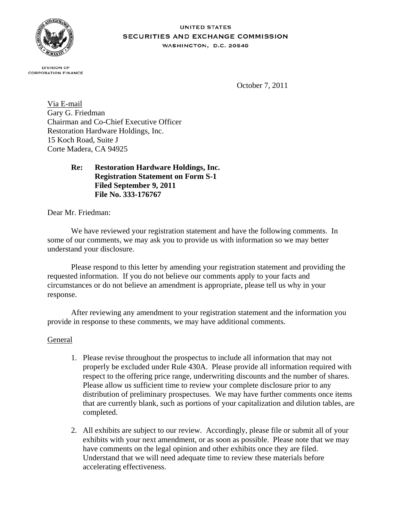

#### **UNITED STATES** SECURITIES AND EXCHANGE COMMISSION **WASHINGTON, D.C. 20549**

**DIVISION OF CORPORATION FINANCE** 

October 7, 2011

Via E-mail Gary G. Friedman Chairman and Co-Chief Executive Officer Restoration Hardware Holdings, Inc. 15 Koch Road, Suite J Corte Madera, CA 94925

# **Re: Restoration Hardware Holdings, Inc. Registration Statement on Form S-1 Filed September 9, 2011 File No. 333-176767**

Dear Mr. Friedman:

We have reviewed your registration statement and have the following comments. In some of our comments, we may ask you to provide us with information so we may better understand your disclosure.

Please respond to this letter by amending your registration statement and providing the requested information. If you do not believe our comments apply to your facts and circumstances or do not believe an amendment is appropriate, please tell us why in your response.

After reviewing any amendment to your registration statement and the information you provide in response to these comments, we may have additional comments.

# General

- 1. Please revise throughout the prospectus to include all information that may not properly be excluded under Rule 430A. Please provide all information required with respect to the offering price range, underwriting discounts and the number of shares. Please allow us sufficient time to review your complete disclosure prior to any distribution of preliminary prospectuses. We may have further comments once items that are currently blank, such as portions of your capitalization and dilution tables, are completed.
- 2. All exhibits are subject to our review. Accordingly, please file or submit all of your exhibits with your next amendment, or as soon as possible. Please note that we may have comments on the legal opinion and other exhibits once they are filed. Understand that we will need adequate time to review these materials before accelerating effectiveness.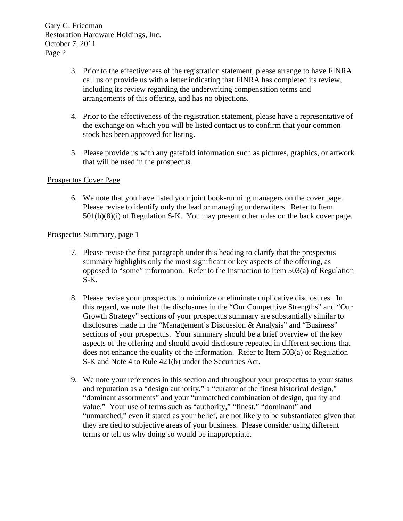- 3. Prior to the effectiveness of the registration statement, please arrange to have FINRA call us or provide us with a letter indicating that FINRA has completed its review, including its review regarding the underwriting compensation terms and arrangements of this offering, and has no objections.
- 4. Prior to the effectiveness of the registration statement, please have a representative of the exchange on which you will be listed contact us to confirm that your common stock has been approved for listing.
- 5. Please provide us with any gatefold information such as pictures, graphics, or artwork that will be used in the prospectus.

#### Prospectus Cover Page

6. We note that you have listed your joint book-running managers on the cover page. Please revise to identify only the lead or managing underwriters. Refer to Item 501(b)(8)(i) of Regulation S-K. You may present other roles on the back cover page.

#### Prospectus Summary, page 1

- 7. Please revise the first paragraph under this heading to clarify that the prospectus summary highlights only the most significant or key aspects of the offering, as opposed to "some" information. Refer to the Instruction to Item 503(a) of Regulation S-K.
- 8. Please revise your prospectus to minimize or eliminate duplicative disclosures. In this regard, we note that the disclosures in the "Our Competitive Strengths" and "Our Growth Strategy" sections of your prospectus summary are substantially similar to disclosures made in the "Management's Discussion & Analysis" and "Business" sections of your prospectus. Your summary should be a brief overview of the key aspects of the offering and should avoid disclosure repeated in different sections that does not enhance the quality of the information. Refer to Item 503(a) of Regulation S-K and Note 4 to Rule 421(b) under the Securities Act.
- 9. We note your references in this section and throughout your prospectus to your status and reputation as a "design authority," a "curator of the finest historical design," "dominant assortments" and your "unmatched combination of design, quality and value." Your use of terms such as "authority," "finest," "dominant" and "unmatched," even if stated as your belief, are not likely to be substantiated given that they are tied to subjective areas of your business. Please consider using different terms or tell us why doing so would be inappropriate.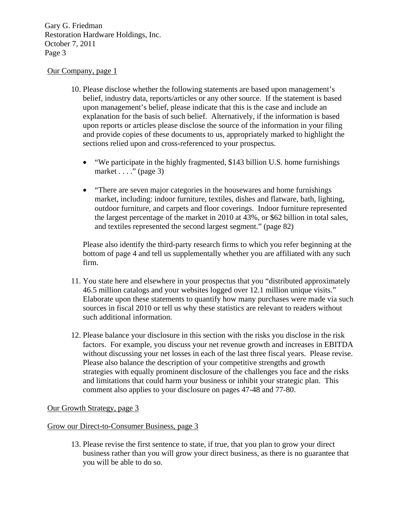#### Our Company, page 1

- 10. Please disclose whether the following statements are based upon management's belief, industry data, reports/articles or any other source. If the statement is based upon management's belief, please indicate that this is the case and include an explanation for the basis of such belief. Alternatively, if the information is based upon reports or articles please disclose the source of the information in your filing and provide copies of these documents to us, appropriately marked to highlight the sections relied upon and cross-referenced to your prospectus.
	- "We participate in the highly fragmented, \$143 billion U.S. home furnishings market  $\dots$  ." (page 3)
	- "There are seven major categories in the housewares and home furnishings market, including: indoor furniture, textiles, dishes and flatware, bath, lighting, outdoor furniture, and carpets and floor coverings. Indoor furniture represented the largest percentage of the market in 2010 at 43%, or \$62 billion in total sales, and textiles represented the second largest segment." (page 82)

Please also identify the third-party research firms to which you refer beginning at the bottom of page 4 and tell us supplementally whether you are affiliated with any such firm.

- 11. You state here and elsewhere in your prospectus that you "distributed approximately 46.5 million catalogs and your websites logged over 12.1 million unique visits." Elaborate upon these statements to quantify how many purchases were made via such sources in fiscal 2010 or tell us why these statistics are relevant to readers without such additional information.
- 12. Please balance your disclosure in this section with the risks you disclose in the risk factors. For example, you discuss your net revenue growth and increases in EBITDA without discussing your net losses in each of the last three fiscal years. Please revise. Please also balance the description of your competitive strengths and growth strategies with equally prominent disclosure of the challenges you face and the risks and limitations that could harm your business or inhibit your strategic plan. This comment also applies to your disclosure on pages 47-48 and 77-80.

# Our Growth Strategy, page 3

#### Grow our Direct-to-Consumer Business, page 3

13. Please revise the first sentence to state, if true, that you plan to grow your direct business rather than you will grow your direct business, as there is no guarantee that you will be able to do so.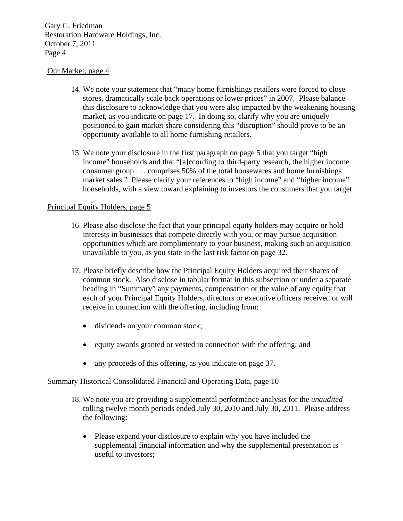# Our Market, page 4

- 14. We note your statement that "many home furnishings retailers were forced to close stores, dramatically scale back operations or lower prices" in 2007. Please balance this disclosure to acknowledge that you were also impacted by the weakening housing market, as you indicate on page 17. In doing so, clarify why you are uniquely positioned to gain market share considering this "disruption" should prove to be an opportunity available to all home furnishing retailers.
- 15. We note your disclosure in the first paragraph on page 5 that you target "high income" households and that "[a]ccording to third-party research, the higher income consumer group . . . comprises 50% of the total housewares and home furnishings market sales." Please clarify your references to "high income" and "higher income" households, with a view toward explaining to investors the consumers that you target.

# Principal Equity Holders, page 5

- 16. Please also disclose the fact that your principal equity holders may acquire or hold interests in businesses that compete directly with you, or may pursue acquisition opportunities which are complimentary to your business, making such an acquisition unavailable to you, as you state in the last risk factor on page 32.
- 17. Please briefly describe how the Principal Equity Holders acquired their shares of common stock. Also disclose in tabular format in this subsection or under a separate heading in "Summary" any payments, compensation or the value of any equity that each of your Principal Equity Holders, directors or executive officers received or will receive in connection with the offering, including from:
	- dividends on your common stock;
	- $\bullet$  equity awards granted or vested in connection with the offering; and
	- any proceeds of this offering, as you indicate on page 37.

# Summary Historical Consolidated Financial and Operating Data, page 10

- 18. We note you are providing a supplemental performance analysis for the *unaudited*  rolling twelve month periods ended July 30, 2010 and July 30, 2011. Please address the following:
	- Please expand your disclosure to explain why you have included the supplemental financial information and why the supplemental presentation is useful to investors;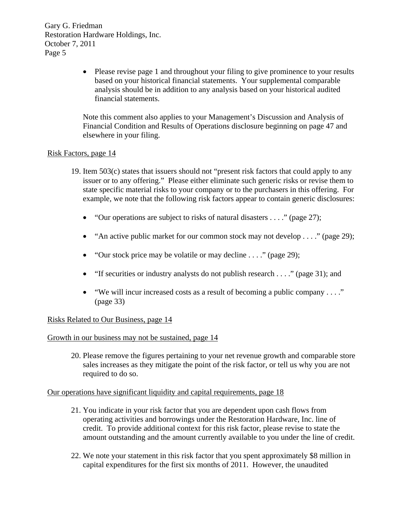> Please revise page 1 and throughout your filing to give prominence to your results based on your historical financial statements. Your supplemental comparable analysis should be in addition to any analysis based on your historical audited financial statements.

Note this comment also applies to your Management's Discussion and Analysis of Financial Condition and Results of Operations disclosure beginning on page 47 and elsewhere in your filing.

# Risk Factors, page 14

- 19. Item 503(c) states that issuers should not "present risk factors that could apply to any issuer or to any offering." Please either eliminate such generic risks or revise them to state specific material risks to your company or to the purchasers in this offering. For example, we note that the following risk factors appear to contain generic disclosures:
	- $\bullet$  "Our operations are subject to risks of natural disasters . . . ." (page 27);
	- "An active public market for our common stock may not develop  $\dots$ " (page 29);
	- $\bullet$  "Our stock price may be volatile or may decline . . . ." (page 29);
	- $\bullet$  "If securities or industry analysts do not publish research . . . ." (page 31); and
	- "We will incur increased costs as a result of becoming a public company . . . ." (page 33)

# Risks Related to Our Business, page 14

Growth in our business may not be sustained, page 14

20. Please remove the figures pertaining to your net revenue growth and comparable store sales increases as they mitigate the point of the risk factor, or tell us why you are not required to do so.

# Our operations have significant liquidity and capital requirements, page 18

- 21. You indicate in your risk factor that you are dependent upon cash flows from operating activities and borrowings under the Restoration Hardware, Inc. line of credit. To provide additional context for this risk factor, please revise to state the amount outstanding and the amount currently available to you under the line of credit.
- 22. We note your statement in this risk factor that you spent approximately \$8 million in capital expenditures for the first six months of 2011. However, the unaudited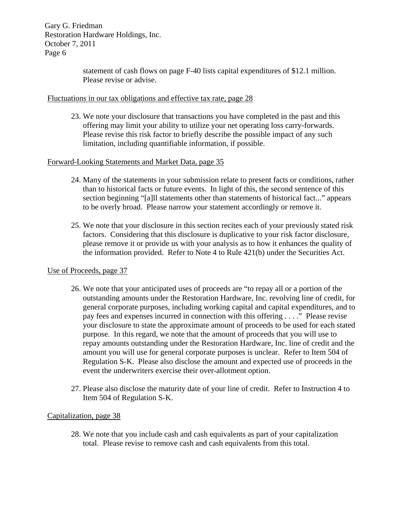> statement of cash flows on page F-40 lists capital expenditures of \$12.1 million. Please revise or advise.

# Fluctuations in our tax obligations and effective tax rate, page 28

23. We note your disclosure that transactions you have completed in the past and this offering may limit your ability to utilize your net operating loss carry-forwards. Please revise this risk factor to briefly describe the possible impact of any such limitation, including quantifiable information, if possible.

# Forward-Looking Statements and Market Data, page 35

- 24. Many of the statements in your submission relate to present facts or conditions, rather than to historical facts or future events. In light of this, the second sentence of this section beginning "[a]ll statements other than statements of historical fact..." appears to be overly broad. Please narrow your statement accordingly or remove it.
- 25. We note that your disclosure in this section recites each of your previously stated risk factors. Considering that this disclosure is duplicative to your risk factor disclosure, please remove it or provide us with your analysis as to how it enhances the quality of the information provided. Refer to Note 4 to Rule 421(b) under the Securities Act.

# Use of Proceeds, page 37

- 26. We note that your anticipated uses of proceeds are "to repay all or a portion of the outstanding amounts under the Restoration Hardware, Inc. revolving line of credit, for general corporate purposes, including working capital and capital expenditures, and to pay fees and expenses incurred in connection with this offering . . . ." Please revise your disclosure to state the approximate amount of proceeds to be used for each stated purpose. In this regard, we note that the amount of proceeds that you will use to repay amounts outstanding under the Restoration Hardware, Inc. line of credit and the amount you will use for general corporate purposes is unclear. Refer to Item 504 of Regulation S-K. Please also disclose the amount and expected use of proceeds in the event the underwriters exercise their over-allotment option.
- 27. Please also disclose the maturity date of your line of credit. Refer to Instruction 4 to Item 504 of Regulation S-K.

# Capitalization, page 38

28. We note that you include cash and cash equivalents as part of your capitalization total. Please revise to remove cash and cash equivalents from this total.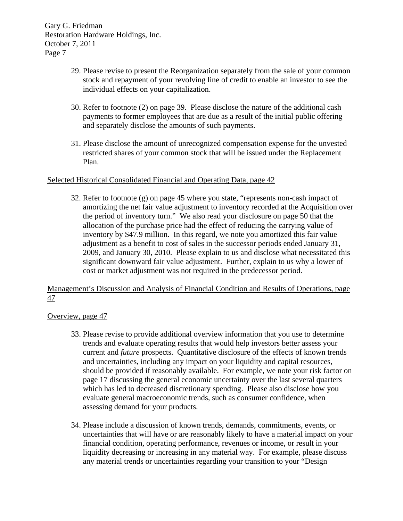- 29. Please revise to present the Reorganization separately from the sale of your common stock and repayment of your revolving line of credit to enable an investor to see the individual effects on your capitalization.
- 30. Refer to footnote (2) on page 39. Please disclose the nature of the additional cash payments to former employees that are due as a result of the initial public offering and separately disclose the amounts of such payments.
- 31. Please disclose the amount of unrecognized compensation expense for the unvested restricted shares of your common stock that will be issued under the Replacement Plan.

# Selected Historical Consolidated Financial and Operating Data, page 42

32. Refer to footnote (g) on page 45 where you state, "represents non-cash impact of amortizing the net fair value adjustment to inventory recorded at the Acquisition over the period of inventory turn." We also read your disclosure on page 50 that the allocation of the purchase price had the effect of reducing the carrying value of inventory by \$47.9 million. In this regard, we note you amortized this fair value adjustment as a benefit to cost of sales in the successor periods ended January 31, 2009, and January 30, 2010. Please explain to us and disclose what necessitated this significant downward fair value adjustment. Further, explain to us why a lower of cost or market adjustment was not required in the predecessor period.

# Management's Discussion and Analysis of Financial Condition and Results of Operations, page 47

# Overview, page 47

- 33. Please revise to provide additional overview information that you use to determine trends and evaluate operating results that would help investors better assess your current and *future* prospects. Quantitative disclosure of the effects of known trends and uncertainties, including any impact on your liquidity and capital resources, should be provided if reasonably available. For example, we note your risk factor on page 17 discussing the general economic uncertainty over the last several quarters which has led to decreased discretionary spending. Please also disclose how you evaluate general macroeconomic trends, such as consumer confidence, when assessing demand for your products.
- 34. Please include a discussion of known trends, demands, commitments, events, or uncertainties that will have or are reasonably likely to have a material impact on your financial condition, operating performance, revenues or income, or result in your liquidity decreasing or increasing in any material way. For example, please discuss any material trends or uncertainties regarding your transition to your "Design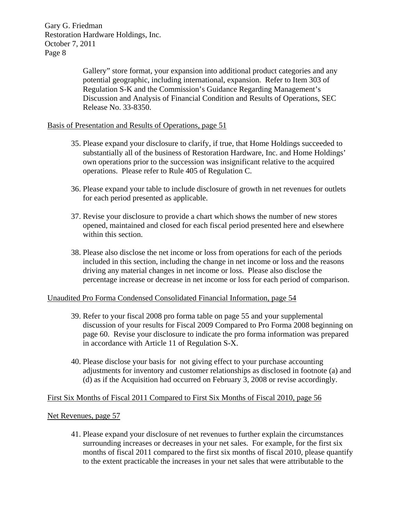> Gallery" store format, your expansion into additional product categories and any potential geographic, including international, expansion. Refer to Item 303 of Regulation S-K and the Commission's Guidance Regarding Management's Discussion and Analysis of Financial Condition and Results of Operations, SEC Release No. 33-8350.

# Basis of Presentation and Results of Operations, page 51

- 35. Please expand your disclosure to clarify, if true, that Home Holdings succeeded to substantially all of the business of Restoration Hardware, Inc. and Home Holdings' own operations prior to the succession was insignificant relative to the acquired operations. Please refer to Rule 405 of Regulation C.
- 36. Please expand your table to include disclosure of growth in net revenues for outlets for each period presented as applicable.
- 37. Revise your disclosure to provide a chart which shows the number of new stores opened, maintained and closed for each fiscal period presented here and elsewhere within this section.
- 38. Please also disclose the net income or loss from operations for each of the periods included in this section, including the change in net income or loss and the reasons driving any material changes in net income or loss. Please also disclose the percentage increase or decrease in net income or loss for each period of comparison.

# Unaudited Pro Forma Condensed Consolidated Financial Information, page 54

- 39. Refer to your fiscal 2008 pro forma table on page 55 and your supplemental discussion of your results for Fiscal 2009 Compared to Pro Forma 2008 beginning on page 60. Revise your disclosure to indicate the pro forma information was prepared in accordance with Article 11 of Regulation S-X.
- 40. Please disclose your basis for not giving effect to your purchase accounting adjustments for inventory and customer relationships as disclosed in footnote (a) and (d) as if the Acquisition had occurred on February 3, 2008 or revise accordingly.

#### First Six Months of Fiscal 2011 Compared to First Six Months of Fiscal 2010, page 56

#### Net Revenues, page 57

41. Please expand your disclosure of net revenues to further explain the circumstances surrounding increases or decreases in your net sales. For example, for the first six months of fiscal 2011 compared to the first six months of fiscal 2010, please quantify to the extent practicable the increases in your net sales that were attributable to the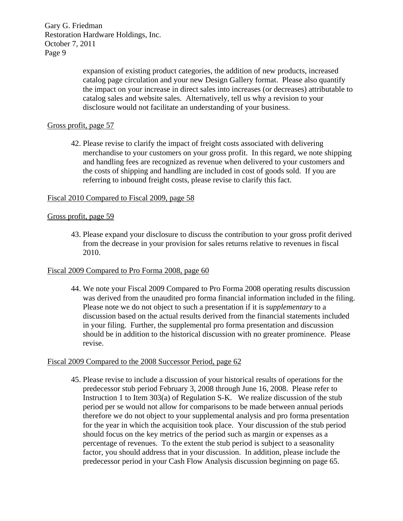> expansion of existing product categories, the addition of new products, increased catalog page circulation and your new Design Gallery format. Please also quantify the impact on your increase in direct sales into increases (or decreases) attributable to catalog sales and website sales. Alternatively, tell us why a revision to your disclosure would not facilitate an understanding of your business.

# Gross profit, page 57

42. Please revise to clarify the impact of freight costs associated with delivering merchandise to your customers on your gross profit. In this regard, we note shipping and handling fees are recognized as revenue when delivered to your customers and the costs of shipping and handling are included in cost of goods sold. If you are referring to inbound freight costs, please revise to clarify this fact.

#### Fiscal 2010 Compared to Fiscal 2009, page 58

#### Gross profit, page 59

43. Please expand your disclosure to discuss the contribution to your gross profit derived from the decrease in your provision for sales returns relative to revenues in fiscal 2010.

# Fiscal 2009 Compared to Pro Forma 2008, page 60

44. We note your Fiscal 2009 Compared to Pro Forma 2008 operating results discussion was derived from the unaudited pro forma financial information included in the filing. Please note we do not object to such a presentation if it is *supplementary* to a discussion based on the actual results derived from the financial statements included in your filing. Further, the supplemental pro forma presentation and discussion should be in addition to the historical discussion with no greater prominence. Please revise.

#### Fiscal 2009 Compared to the 2008 Successor Period, page 62

45. Please revise to include a discussion of your historical results of operations for the predecessor stub period February 3, 2008 through June 16, 2008. Please refer to Instruction 1 to Item 303(a) of Regulation S-K. We realize discussion of the stub period per se would not allow for comparisons to be made between annual periods therefore we do not object to your supplemental analysis and pro forma presentation for the year in which the acquisition took place. Your discussion of the stub period should focus on the key metrics of the period such as margin or expenses as a percentage of revenues. To the extent the stub period is subject to a seasonality factor, you should address that in your discussion. In addition, please include the predecessor period in your Cash Flow Analysis discussion beginning on page 65.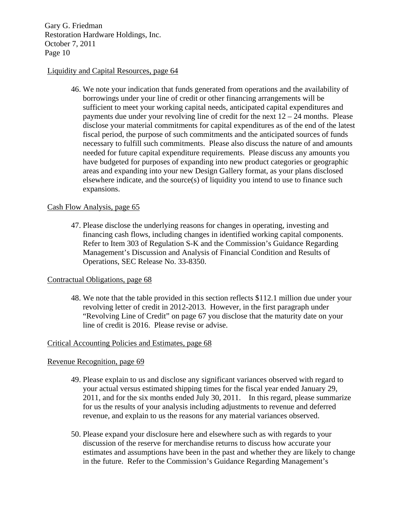#### Liquidity and Capital Resources, page 64

46. We note your indication that funds generated from operations and the availability of borrowings under your line of credit or other financing arrangements will be sufficient to meet your working capital needs, anticipated capital expenditures and payments due under your revolving line of credit for the next  $12 - 24$  months. Please disclose your material commitments for capital expenditures as of the end of the latest fiscal period, the purpose of such commitments and the anticipated sources of funds necessary to fulfill such commitments. Please also discuss the nature of and amounts needed for future capital expenditure requirements. Please discuss any amounts you have budgeted for purposes of expanding into new product categories or geographic areas and expanding into your new Design Gallery format, as your plans disclosed elsewhere indicate, and the source(s) of liquidity you intend to use to finance such expansions.

# Cash Flow Analysis, page 65

47. Please disclose the underlying reasons for changes in operating, investing and financing cash flows, including changes in identified working capital components. Refer to Item 303 of Regulation S-K and the Commission's Guidance Regarding Management's Discussion and Analysis of Financial Condition and Results of Operations, SEC Release No. 33-8350.

# Contractual Obligations, page 68

48. We note that the table provided in this section reflects \$112.1 million due under your revolving letter of credit in 2012-2013. However, in the first paragraph under "Revolving Line of Credit" on page 67 you disclose that the maturity date on your line of credit is 2016. Please revise or advise.

#### Critical Accounting Policies and Estimates, page 68

# Revenue Recognition, page 69

- 49. Please explain to us and disclose any significant variances observed with regard to your actual versus estimated shipping times for the fiscal year ended January 29, 2011, and for the six months ended July 30, 2011. In this regard, please summarize for us the results of your analysis including adjustments to revenue and deferred revenue, and explain to us the reasons for any material variances observed.
- 50. Please expand your disclosure here and elsewhere such as with regards to your discussion of the reserve for merchandise returns to discuss how accurate your estimates and assumptions have been in the past and whether they are likely to change in the future. Refer to the Commission's Guidance Regarding Management's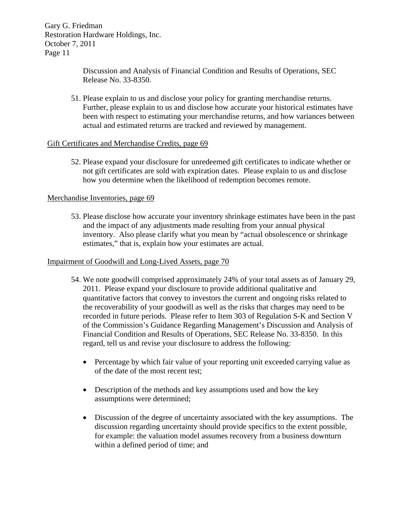> Discussion and Analysis of Financial Condition and Results of Operations, SEC Release No. 33-8350.

51. Please explain to us and disclose your policy for granting merchandise returns. Further, please explain to us and disclose how accurate your historical estimates have been with respect to estimating your merchandise returns, and how variances between actual and estimated returns are tracked and reviewed by management.

# Gift Certificates and Merchandise Credits, page 69

52. Please expand your disclosure for unredeemed gift certificates to indicate whether or not gift certificates are sold with expiration dates. Please explain to us and disclose how you determine when the likelihood of redemption becomes remote.

#### Merchandise Inventories, page 69

53. Please disclose how accurate your inventory shrinkage estimates have been in the past and the impact of any adjustments made resulting from your annual physical inventory. Also please clarify what you mean by "actual obsolescence or shrinkage estimates," that is, explain how your estimates are actual.

#### Impairment of Goodwill and Long-Lived Assets, page 70

- 54. We note goodwill comprised approximately 24% of your total assets as of January 29, 2011. Please expand your disclosure to provide additional qualitative and quantitative factors that convey to investors the current and ongoing risks related to the recoverability of your goodwill as well as the risks that charges may need to be recorded in future periods. Please refer to Item 303 of Regulation S-K and Section V of the Commission's Guidance Regarding Management's Discussion and Analysis of Financial Condition and Results of Operations, SEC Release No. 33-8350. In this regard, tell us and revise your disclosure to address the following:
	- Percentage by which fair value of your reporting unit exceeded carrying value as of the date of the most recent test;
	- Description of the methods and key assumptions used and how the key assumptions were determined;
	- Discussion of the degree of uncertainty associated with the key assumptions. The discussion regarding uncertainty should provide specifics to the extent possible, for example: the valuation model assumes recovery from a business downturn within a defined period of time; and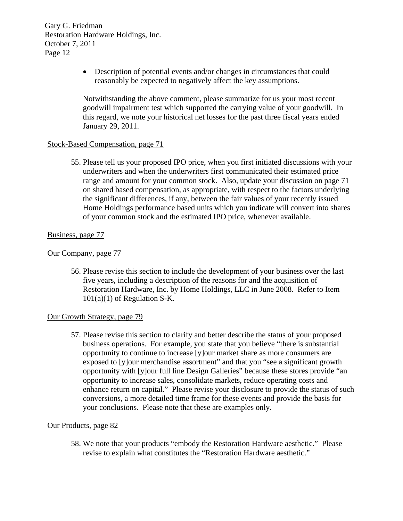> Description of potential events and/or changes in circumstances that could reasonably be expected to negatively affect the key assumptions.

Notwithstanding the above comment, please summarize for us your most recent goodwill impairment test which supported the carrying value of your goodwill. In this regard, we note your historical net losses for the past three fiscal years ended January 29, 2011.

#### Stock-Based Compensation, page 71

55. Please tell us your proposed IPO price, when you first initiated discussions with your underwriters and when the underwriters first communicated their estimated price range and amount for your common stock. Also, update your discussion on page 71 on shared based compensation, as appropriate, with respect to the factors underlying the significant differences, if any, between the fair values of your recently issued Home Holdings performance based units which you indicate will convert into shares of your common stock and the estimated IPO price, whenever available.

#### Business, page 77

#### Our Company, page 77

56. Please revise this section to include the development of your business over the last five years, including a description of the reasons for and the acquisition of Restoration Hardware, Inc. by Home Holdings, LLC in June 2008. Refer to Item  $101(a)(1)$  of Regulation S-K.

#### Our Growth Strategy, page 79

57. Please revise this section to clarify and better describe the status of your proposed business operations. For example, you state that you believe "there is substantial opportunity to continue to increase [y]our market share as more consumers are exposed to [y]our merchandise assortment" and that you "see a significant growth opportunity with [y]our full line Design Galleries" because these stores provide "an opportunity to increase sales, consolidate markets, reduce operating costs and enhance return on capital." Please revise your disclosure to provide the status of such conversions, a more detailed time frame for these events and provide the basis for your conclusions. Please note that these are examples only.

#### Our Products, page 82

58. We note that your products "embody the Restoration Hardware aesthetic." Please revise to explain what constitutes the "Restoration Hardware aesthetic."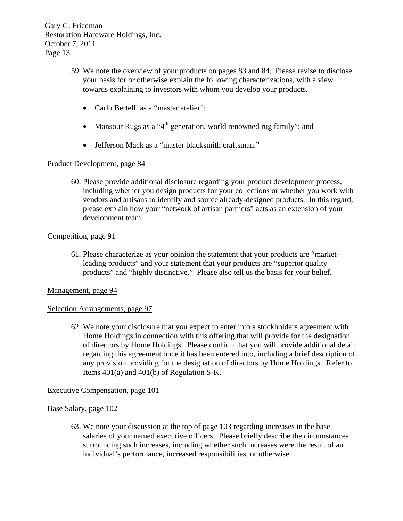- 59. We note the overview of your products on pages 83 and 84. Please revise to disclose your basis for or otherwise explain the following characterizations, with a view towards explaining to investors with whom you develop your products.
	- Carlo Bertelli as a "master atelier";
	- Mansour Rugs as a "4<sup>th</sup> generation, world renowned rug family"; and
	- Jefferson Mack as a "master blacksmith craftsman."

# Product Development, page 84

60. Please provide additional disclosure regarding your product development process, including whether you design products for your collections or whether you work with vendors and artisans to identify and source already-designed products. In this regard, please explain how your "network of artisan partners" acts as an extension of your development team.

# Competition, page 91

61. Please characterize as your opinion the statement that your products are "marketleading products" and your statement that your products are "superior quality" products" and "highly distinctive." Please also tell us the basis for your belief.

# Management, page 94

# Selection Arrangements, page 97

62. We note your disclosure that you expect to enter into a stockholders agreement with Home Holdings in connection with this offering that will provide for the designation of directors by Home Holdings. Please confirm that you will provide additional detail regarding this agreement once it has been entered into, including a brief description of any provision providing for the designation of directors by Home Holdings. Refer to Items 401(a) and 401(b) of Regulation S-K.

# Executive Compensation, page 101

# Base Salary, page 102

63. We note your discussion at the top of page 103 regarding increases in the base salaries of your named executive officers. Please briefly describe the circumstances surrounding such increases, including whether such increases were the result of an individual's performance, increased responsibilities, or otherwise.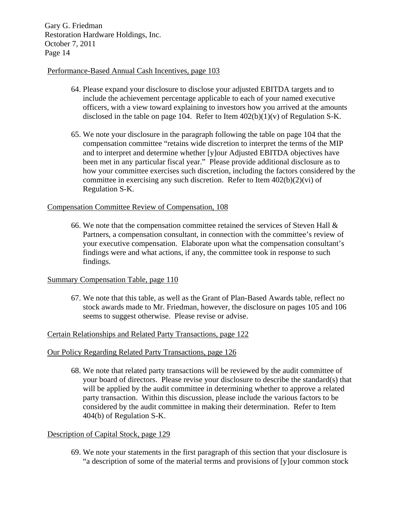#### Performance-Based Annual Cash Incentives, page 103

- 64. Please expand your disclosure to disclose your adjusted EBITDA targets and to include the achievement percentage applicable to each of your named executive officers, with a view toward explaining to investors how you arrived at the amounts disclosed in the table on page 104. Refer to Item  $402(b)(1)(v)$  of Regulation S-K.
- 65. We note your disclosure in the paragraph following the table on page 104 that the compensation committee "retains wide discretion to interpret the terms of the MIP and to interpret and determine whether [y]our Adjusted EBITDA objectives have been met in any particular fiscal year." Please provide additional disclosure as to how your committee exercises such discretion, including the factors considered by the committee in exercising any such discretion. Refer to Item  $402(b)(2)(vi)$  of Regulation S-K.

#### Compensation Committee Review of Compensation, 108

66. We note that the compensation committee retained the services of Steven Hall  $\&$ Partners, a compensation consultant, in connection with the committee's review of your executive compensation. Elaborate upon what the compensation consultant's findings were and what actions, if any, the committee took in response to such findings.

# Summary Compensation Table, page 110

67. We note that this table, as well as the Grant of Plan-Based Awards table, reflect no stock awards made to Mr. Friedman, however, the disclosure on pages 105 and 106 seems to suggest otherwise. Please revise or advise.

# Certain Relationships and Related Party Transactions, page 122

#### Our Policy Regarding Related Party Transactions, page 126

68. We note that related party transactions will be reviewed by the audit committee of your board of directors. Please revise your disclosure to describe the standard(s) that will be applied by the audit committee in determining whether to approve a related party transaction. Within this discussion, please include the various factors to be considered by the audit committee in making their determination. Refer to Item 404(b) of Regulation S-K.

# Description of Capital Stock, page 129

69. We note your statements in the first paragraph of this section that your disclosure is "a description of some of the material terms and provisions of [y]our common stock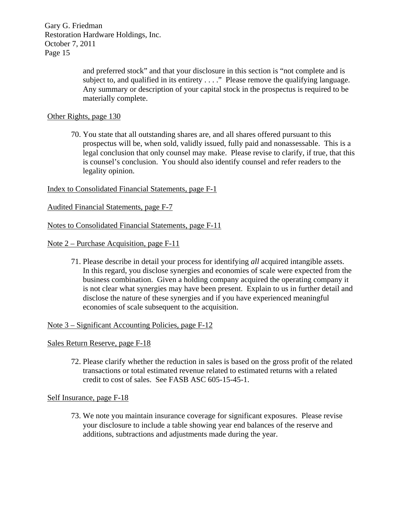> and preferred stock" and that your disclosure in this section is "not complete and is subject to, and qualified in its entirety . . . ." Please remove the qualifying language. Any summary or description of your capital stock in the prospectus is required to be materially complete.

# Other Rights, page 130

70. You state that all outstanding shares are, and all shares offered pursuant to this prospectus will be, when sold, validly issued, fully paid and nonassessable. This is a legal conclusion that only counsel may make. Please revise to clarify, if true, that this is counsel's conclusion. You should also identify counsel and refer readers to the legality opinion.

Index to Consolidated Financial Statements, page F-1

Audited Financial Statements, page F-7

Notes to Consolidated Financial Statements, page F-11

Note 2 – Purchase Acquisition, page F-11

71. Please describe in detail your process for identifying *all* acquired intangible assets. In this regard, you disclose synergies and economies of scale were expected from the business combination. Given a holding company acquired the operating company it is not clear what synergies may have been present. Explain to us in further detail and disclose the nature of these synergies and if you have experienced meaningful economies of scale subsequent to the acquisition.

Note 3 – Significant Accounting Policies, page F-12

Sales Return Reserve, page F-18

72. Please clarify whether the reduction in sales is based on the gross profit of the related transactions or total estimated revenue related to estimated returns with a related credit to cost of sales. See FASB ASC 605-15-45-1.

Self Insurance, page F-18

73. We note you maintain insurance coverage for significant exposures. Please revise your disclosure to include a table showing year end balances of the reserve and additions, subtractions and adjustments made during the year.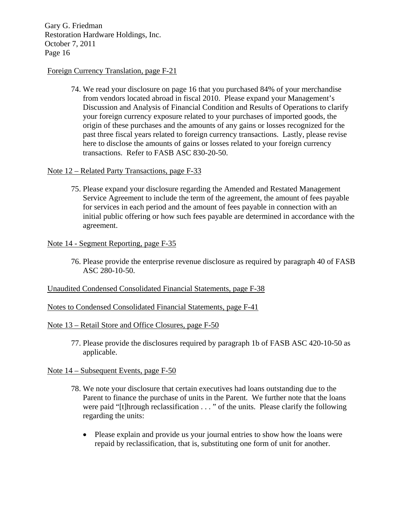#### Foreign Currency Translation, page F-21

74. We read your disclosure on page 16 that you purchased 84% of your merchandise from vendors located abroad in fiscal 2010. Please expand your Management's Discussion and Analysis of Financial Condition and Results of Operations to clarify your foreign currency exposure related to your purchases of imported goods, the origin of these purchases and the amounts of any gains or losses recognized for the past three fiscal years related to foreign currency transactions. Lastly, please revise here to disclose the amounts of gains or losses related to your foreign currency transactions. Refer to FASB ASC 830-20-50.

#### Note 12 – Related Party Transactions, page F-33

75. Please expand your disclosure regarding the Amended and Restated Management Service Agreement to include the term of the agreement, the amount of fees payable for services in each period and the amount of fees payable in connection with an initial public offering or how such fees payable are determined in accordance with the agreement.

#### Note 14 - Segment Reporting, page F-35

76. Please provide the enterprise revenue disclosure as required by paragraph 40 of FASB ASC 280-10-50.

# Unaudited Condensed Consolidated Financial Statements, page F-38

# Notes to Condensed Consolidated Financial Statements, page F-41

#### Note 13 – Retail Store and Office Closures, page F-50

77. Please provide the disclosures required by paragraph 1b of FASB ASC 420-10-50 as applicable.

#### Note 14 – Subsequent Events, page F-50

- 78. We note your disclosure that certain executives had loans outstanding due to the Parent to finance the purchase of units in the Parent. We further note that the loans were paid "[t]hrough reclassification . . . " of the units. Please clarify the following regarding the units:
	- Please explain and provide us your journal entries to show how the loans were repaid by reclassification, that is, substituting one form of unit for another.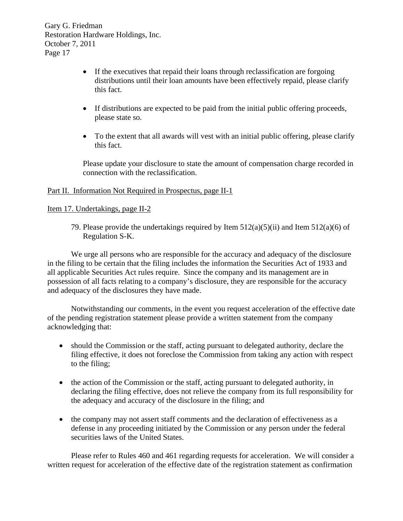- If the executives that repaid their loans through reclassification are forgoing distributions until their loan amounts have been effectively repaid, please clarify this fact.
- If distributions are expected to be paid from the initial public offering proceeds, please state so.
- To the extent that all awards will vest with an initial public offering, please clarify this fact.

Please update your disclosure to state the amount of compensation charge recorded in connection with the reclassification.

# Part II. Information Not Required in Prospectus, page II-1

# Item 17. Undertakings, page II-2

79. Please provide the undertakings required by Item  $512(a)(5)(ii)$  and Item  $512(a)(6)$  of Regulation S-K.

We urge all persons who are responsible for the accuracy and adequacy of the disclosure in the filing to be certain that the filing includes the information the Securities Act of 1933 and all applicable Securities Act rules require. Since the company and its management are in possession of all facts relating to a company's disclosure, they are responsible for the accuracy and adequacy of the disclosures they have made.

Notwithstanding our comments, in the event you request acceleration of the effective date of the pending registration statement please provide a written statement from the company acknowledging that:

- should the Commission or the staff, acting pursuant to delegated authority, declare the filing effective, it does not foreclose the Commission from taking any action with respect to the filing;
- the action of the Commission or the staff, acting pursuant to delegated authority, in declaring the filing effective, does not relieve the company from its full responsibility for the adequacy and accuracy of the disclosure in the filing; and
- the company may not assert staff comments and the declaration of effectiveness as a defense in any proceeding initiated by the Commission or any person under the federal securities laws of the United States.

Please refer to Rules 460 and 461 regarding requests for acceleration. We will consider a written request for acceleration of the effective date of the registration statement as confirmation